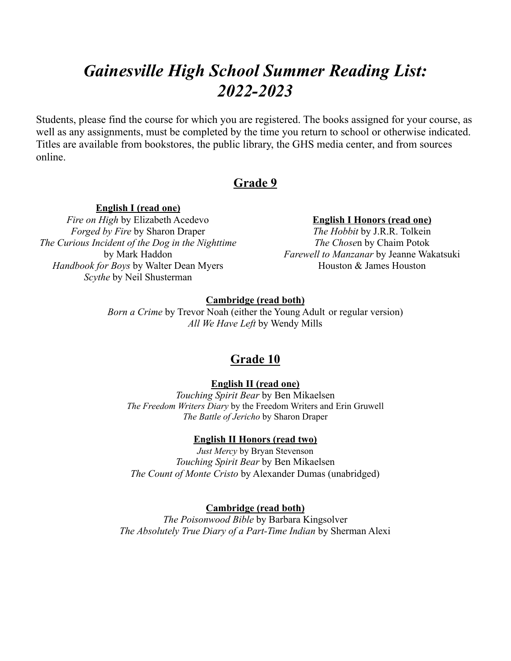# *Gainesville High School Summer Reading List: 2022-2023*

Students, please find the course for which you are registered. The books assigned for your course, as well as any assignments, must be completed by the time you return to school or otherwise indicated. Titles are available from bookstores, the public library, the GHS media center, and from sources online.

# **Grade 9**

**English I (read one)** *Fire on High* by Elizabeth Acedevo *Forged by Fire* by Sharon Draper *The Curious Incident of the Dog in the Nighttime* by Mark Haddon *Handbook for Boys* by Walter Dean Myers *Scythe* by Neil Shusterman

**English I Honors (read one)**

*The Hobbit* by J.R.R. Tolkein *The Chose*n by Chaim Potok *Farewell to Manzanar* by Jeanne Wakatsuki Houston & James Houston

#### **Cambridge (read both)**

*Born a Crime* by Trevor Noah (either the Young Adult or regular version) *All We Have Left* by Wendy Mills

### **Grade 10**

#### **English II (read one)**

*Touching Spirit Bear* by Ben Mikaelsen *The Freedom Writers Diary* by the Freedom Writers and Erin Gruwell *The Battle of Jericho* by Sharon Draper

#### **English II Honors (read two)**

*Just Mercy* by Bryan Stevenson *Touching Spirit Bear* by Ben Mikaelsen *The Count of Monte Cristo* by Alexander Dumas (unabridged)

#### **Cambridge (read both)**

*The Poisonwood Bible* by Barbara Kingsolver *The Absolutely True Diary of a Part-Time Indian* by Sherman Alexi